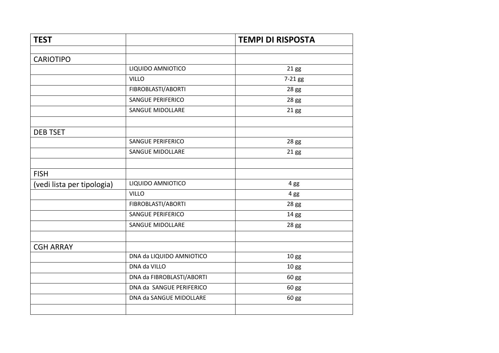| <b>TEST</b>                |                           | <b>TEMPI DI RISPOSTA</b> |
|----------------------------|---------------------------|--------------------------|
|                            |                           |                          |
| <b>CARIOTIPO</b>           |                           |                          |
|                            | LIQUIDO AMNIOTICO         | 21 gg                    |
|                            | <b>VILLO</b>              | 7-21 gg                  |
|                            | FIBROBLASTI/ABORTI        | 28 gg                    |
|                            | <b>SANGUE PERIFERICO</b>  | 28 gg                    |
|                            | <b>SANGUE MIDOLLARE</b>   | 21 gg                    |
|                            |                           |                          |
| <b>DEB TSET</b>            |                           |                          |
|                            | <b>SANGUE PERIFERICO</b>  | 28 gg                    |
|                            | <b>SANGUE MIDOLLARE</b>   | 21 gg                    |
|                            |                           |                          |
| <b>FISH</b>                |                           |                          |
| (vedi lista per tipologia) | LIQUIDO AMNIOTICO         | 4 gg                     |
|                            | <b>VILLO</b>              | 4 gg                     |
|                            | FIBROBLASTI/ABORTI        | 28 gg                    |
|                            | <b>SANGUE PERIFERICO</b>  | 14 gg                    |
|                            | <b>SANGUE MIDOLLARE</b>   | 28 gg                    |
|                            |                           |                          |
| <b>CGH ARRAY</b>           |                           |                          |
|                            | DNA da LIQUIDO AMNIOTICO  | 10 <sub>gg</sub>         |
|                            | DNA da VILLO              | 10 gg                    |
|                            | DNA da FIBROBLASTI/ABORTI | 60 gg                    |
|                            | DNA da SANGUE PERIFERICO  | 60 gg                    |
|                            | DNA da SANGUE MIDOLLARE   | 60 gg                    |
|                            |                           |                          |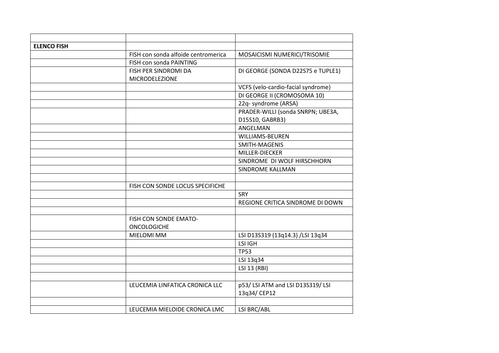| <b>ELENCO FISH</b> |                                     |                                    |
|--------------------|-------------------------------------|------------------------------------|
|                    | FISH con sonda alfoide centromerica | MOSAICISMI NUMERICI/TRISOMIE       |
|                    | FISH con sonda PAINTING             |                                    |
|                    | FISH PER SINDROMI DA                | DI GEORGE (SONDA D22S75 e TUPLE1)  |
|                    | MICRODELEZIONE                      |                                    |
|                    |                                     | VCFS (velo-cardio-facial syndrome) |
|                    |                                     | DI GEORGE II (CROMOSOMA 10)        |
|                    |                                     | 22q- syndrome (ARSA)               |
|                    |                                     | PRADER-WILLI (sonda SNRPN; UBE3A,  |
|                    |                                     | D15S10, GABRB3)                    |
|                    |                                     | ANGELMAN                           |
|                    |                                     | <b>WILLIAMS-BEUREN</b>             |
|                    |                                     | SMITH-MAGENIS                      |
|                    |                                     | MILLER-DIECKER                     |
|                    |                                     | SINDROME DI WOLF HIRSCHHORN        |
|                    |                                     | <b>SINDROME KALLMAN</b>            |
|                    |                                     |                                    |
|                    | FISH CON SONDE LOCUS SPECIFICHE     |                                    |
|                    |                                     | <b>SRY</b>                         |
|                    |                                     | REGIONE CRITICA SINDROME DI DOWN   |
|                    |                                     |                                    |
|                    | FISH CON SONDE EMATO-               |                                    |
|                    | <b>ONCOLOGICHE</b>                  |                                    |
|                    | <b>MIELOMI MM</b>                   | LSI D13S319 (13q14.3) /LSI 13q34   |
|                    |                                     | LSI IGH                            |
|                    |                                     | <b>TP53</b>                        |
|                    |                                     | LSI 13q34                          |
|                    |                                     | LSI 13 (RBI)                       |
|                    |                                     |                                    |
|                    | LEUCEMIA LINFATICA CRONICA LLC      | p53/LSI ATM and LSI D13S319/LSI    |
|                    |                                     | 13q34/CEP12                        |
|                    |                                     |                                    |
|                    | LEUCEMIA MIELOIDE CRONICA LMC       | LSI BRC/ABL                        |